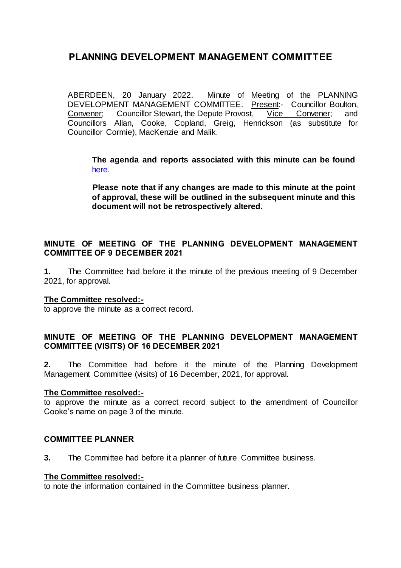ABERDEEN, 20 January 2022. Minute of Meeting of the PLANNING DEVELOPMENT MANAGEMENT COMMITTEE. Present:- Councillor Boulton,<br>Convener: Councillor Stewart, the Depute Provost, Vice Convener; and Convener; Councillor Stewart, the Depute Provost, Vice Convener; and Councillors Allan, Cooke, Copland, Greig, Henrickson (as substitute for Councillor Cormie), MacKenzie and Malik.

**The agenda and reports associated with this minute can be found**  [here.](https://committees.aberdeencity.gov.uk/ieListDocuments.aspx?CId=348&MId=7978&Ver=4)

**Please note that if any changes are made to this minute at the point of approval, these will be outlined in the subsequent minute and this document will not be retrospectively altered.**

# **MINUTE OF MEETING OF THE PLANNING DEVELOPMENT MANAGEMENT COMMITTEE OF 9 DECEMBER 2021**

**1.** The Committee had before it the minute of the previous meeting of 9 December 2021, for approval.

#### **The Committee resolved:-**

to approve the minute as a correct record.

# **MINUTE OF MEETING OF THE PLANNING DEVELOPMENT MANAGEMENT COMMITTEE (VISITS) OF 16 DECEMBER 2021**

**2.** The Committee had before it the minute of the Planning Development Management Committee (visits) of 16 December, 2021, for approval.

#### **The Committee resolved:-**

to approve the minute as a correct record subject to the amendment of Councillor Cooke's name on page 3 of the minute.

### **COMMITTEE PLANNER**

**3.** The Committee had before it a planner of future Committee business.

#### **The Committee resolved:-**

to note the information contained in the Committee business planner.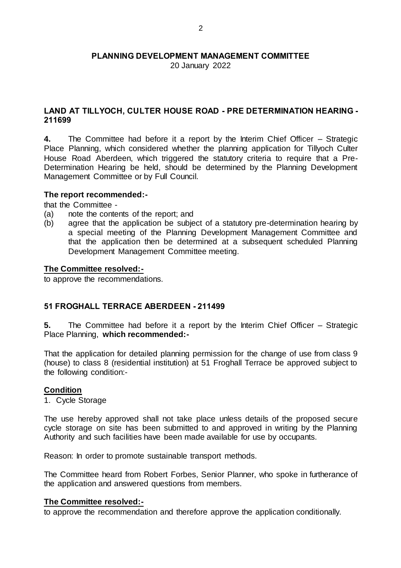20 January 2022

# **LAND AT TILLYOCH, CULTER HOUSE ROAD - PRE DETERMINATION HEARING - 211699**

**4.** The Committee had before it a report by the Interim Chief Officer – Strategic Place Planning, which considered whether the planning application for Tillyoch Culter House Road Aberdeen, which triggered the statutory criteria to require that a Pre-Determination Hearing be held, should be determined by the Planning Development Management Committee or by Full Council.

### **The report recommended:-**

that the Committee -

- (a) note the contents of the report; and
- (b) agree that the application be subject of a statutory pre-determination hearing by a special meeting of the Planning Development Management Committee and that the application then be determined at a subsequent scheduled Planning Development Management Committee meeting.

### **The Committee resolved:-**

to approve the recommendations.

# **51 FROGHALL TERRACE ABERDEEN - 211499**

**5.** The Committee had before it a report by the Interim Chief Officer – Strategic Place Planning, **which recommended:-**

That the application for detailed planning permission for the change of use from class 9 (house) to class 8 (residential institution) at 51 Froghall Terrace be approved subject to the following condition:-

# **Condition**

1. Cycle Storage

The use hereby approved shall not take place unless details of the proposed secure cycle storage on site has been submitted to and approved in writing by the Planning Authority and such facilities have been made available for use by occupants.

Reason: In order to promote sustainable transport methods.

The Committee heard from Robert Forbes, Senior Planner, who spoke in furtherance of the application and answered questions from members.

#### **The Committee resolved:-**

to approve the recommendation and therefore approve the application conditionally.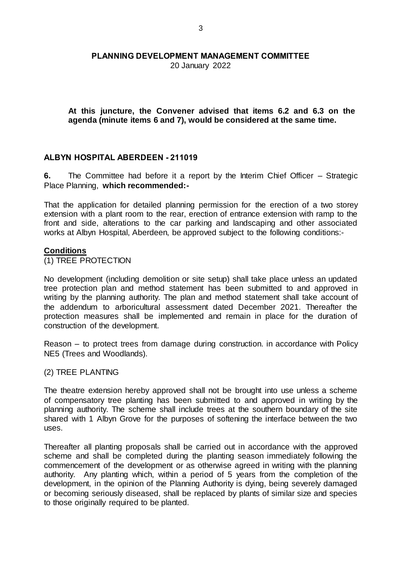20 January 2022

**At this juncture, the Convener advised that items 6.2 and 6.3 on the agenda (minute items 6 and 7), would be considered at the same time.** 

# **ALBYN HOSPITAL ABERDEEN - 211019**

**6.** The Committee had before it a report by the Interim Chief Officer – Strategic Place Planning, **which recommended:-**

That the application for detailed planning permission for the erection of a two storey extension with a plant room to the rear, erection of entrance extension with ramp to the front and side, alterations to the car parking and landscaping and other associated works at Albyn Hospital, Aberdeen, be approved subject to the following conditions:-

#### **Conditions**

(1) TREE PROTECTION

No development (including demolition or site setup) shall take place unless an updated tree protection plan and method statement has been submitted to and approved in writing by the planning authority. The plan and method statement shall take account of the addendum to arboricultural assessment dated December 2021. Thereafter the protection measures shall be implemented and remain in place for the duration of construction of the development.

Reason – to protect trees from damage during construction. in accordance with Policy NE5 (Trees and Woodlands).

#### (2) TREE PLANTING

The theatre extension hereby approved shall not be brought into use unless a scheme of compensatory tree planting has been submitted to and approved in writing by the planning authority. The scheme shall include trees at the southern boundary of the site shared with 1 Albyn Grove for the purposes of softening the interface between the two uses.

Thereafter all planting proposals shall be carried out in accordance with the approved scheme and shall be completed during the planting season immediately following the commencement of the development or as otherwise agreed in writing with the planning authority. Any planting which, within a period of 5 years from the completion of the development, in the opinion of the Planning Authority is dying, being severely damaged or becoming seriously diseased, shall be replaced by plants of similar size and species to those originally required to be planted.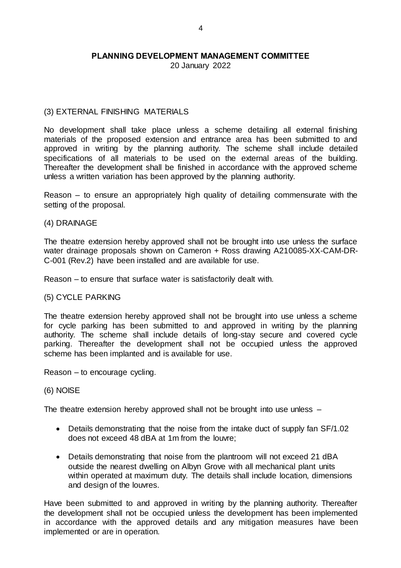20 January 2022

# (3) EXTERNAL FINISHING MATERIALS

No development shall take place unless a scheme detailing all external finishing materials of the proposed extension and entrance area has been submitted to and approved in writing by the planning authority. The scheme shall include detailed specifications of all materials to be used on the external areas of the building. Thereafter the development shall be finished in accordance with the approved scheme unless a written variation has been approved by the planning authority.

Reason – to ensure an appropriately high quality of detailing commensurate with the setting of the proposal.

#### (4) DRAINAGE

The theatre extension hereby approved shall not be brought into use unless the surface water drainage proposals shown on Cameron + Ross drawing A210085-XX-CAM-DR-C-001 (Rev.2) have been installed and are available for use.

Reason – to ensure that surface water is satisfactorily dealt with.

#### (5) CYCLE PARKING

The theatre extension hereby approved shall not be brought into use unless a scheme for cycle parking has been submitted to and approved in writing by the planning authority. The scheme shall include details of long-stay secure and covered cycle parking. Thereafter the development shall not be occupied unless the approved scheme has been implanted and is available for use.

Reason – to encourage cycling.

#### (6) NOISE

The theatre extension hereby approved shall not be brought into use unless –

- Details demonstrating that the noise from the intake duct of supply fan SF/1.02 does not exceed 48 dBA at 1m from the louvre;
- Details demonstrating that noise from the plantroom will not exceed 21 dBA outside the nearest dwelling on Albyn Grove with all mechanical plant units within operated at maximum duty. The details shall include location, dimensions and design of the louvres.

Have been submitted to and approved in writing by the planning authority. Thereafter the development shall not be occupied unless the development has been implemented in accordance with the approved details and any mitigation measures have been implemented or are in operation.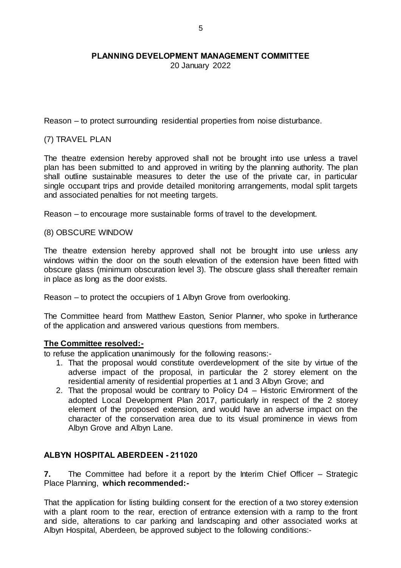20 January 2022

Reason – to protect surrounding residential properties from noise disturbance.

# (7) TRAVEL PLAN

The theatre extension hereby approved shall not be brought into use unless a travel plan has been submitted to and approved in writing by the planning authority. The plan shall outline sustainable measures to deter the use of the private car, in particular single occupant trips and provide detailed monitoring arrangements, modal split targets and associated penalties for not meeting targets.

Reason – to encourage more sustainable forms of travel to the development.

### (8) OBSCURE WINDOW

The theatre extension hereby approved shall not be brought into use unless any windows within the door on the south elevation of the extension have been fitted with obscure glass (minimum obscuration level 3). The obscure glass shall thereafter remain in place as long as the door exists.

Reason – to protect the occupiers of 1 Albyn Grove from overlooking.

The Committee heard from Matthew Easton, Senior Planner, who spoke in furtherance of the application and answered various questions from members.

#### **The Committee resolved:-**

to refuse the application unanimously for the following reasons:-

- 1. That the proposal would constitute overdevelopment of the site by virtue of the adverse impact of the proposal, in particular the 2 storey element on the residential amenity of residential properties at 1 and 3 Albyn Grove; and
- 2. That the proposal would be contrary to Policy D4 Historic Environment of the adopted Local Development Plan 2017, particularly in respect of the 2 storey element of the proposed extension, and would have an adverse impact on the character of the conservation area due to its visual prominence in views from Albyn Grove and Albyn Lane.

# **ALBYN HOSPITAL ABERDEEN - 211020**

**7.** The Committee had before it a report by the Interim Chief Officer – Strategic Place Planning, **which recommended:-**

That the application for listing building consent for the erection of a two storey extension with a plant room to the rear, erection of entrance extension with a ramp to the front and side, alterations to car parking and landscaping and other associated works at Albyn Hospital, Aberdeen, be approved subject to the following conditions:-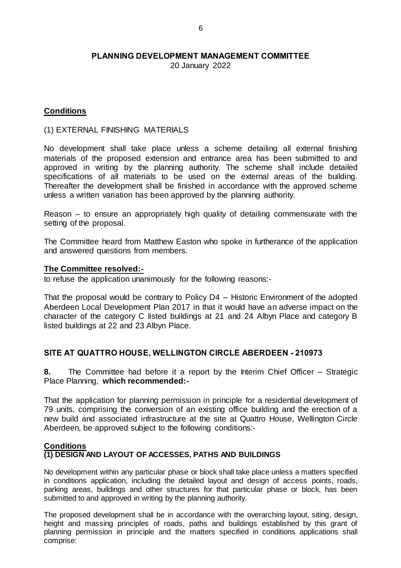20 January 2022

# **Conditions**

(1) EXTERNAL FINISHING MATERIALS

No development shall take place unless a scheme detailing all external finishing materials of the proposed extension and entrance area has been submitted to and approved in writing by the planning authority. The scheme shall include detailed specifications of all materials to be used on the external areas of the building. Thereafter the development shall be finished in accordance with the approved scheme unless a written variation has been approved by the planning authority.

Reason – to ensure an appropriately high quality of detailing commensurate with the setting of the proposal.

The Committee heard from Matthew Easton who spoke in furtherance of the application and answered questions from members.

### **The Committee resolved:-**

to refuse the application unanimously for the following reasons:-

That the proposal would be contrary to Policy D4 – Historic Environment of the adopted Aberdeen Local Development Plan 2017 in that it would have an adverse impact on the character of the category C listed buildings at 21 and 24 Albyn Place and category B listed buildings at 22 and 23 Albyn Place.

# **SITE AT QUATTRO HOUSE, WELLINGTON CIRCLE ABERDEEN - 210973**

**8.** The Committee had before it a report by the Interim Chief Officer – Strategic Place Planning, **which recommended:-**

That the application for planning permission in principle for a residential development of 79 units, comprising the conversion of an existing office building and the erection of a new build and associated infrastructure at the site at Quattro House, Wellington Circle Aberdeen, be approved subject to the following conditions:-

#### **Conditions (1) DESIGN AND LAYOUT OF ACCESSES, PATHS AND BUILDINGS**

No development within any particular phase or block shall take place unless a matters specified in conditions application, including the detailed layout and design of access points, roads, parking areas, buildings and other structures for that particular phase or block, has been submitted to and approved in writing by the planning authority.

The proposed development shall be in accordance with the overarching layout, siting, design, height and massing principles of roads, paths and buildings established by this grant of planning permission in principle and the matters specified in conditions applications shall comprise: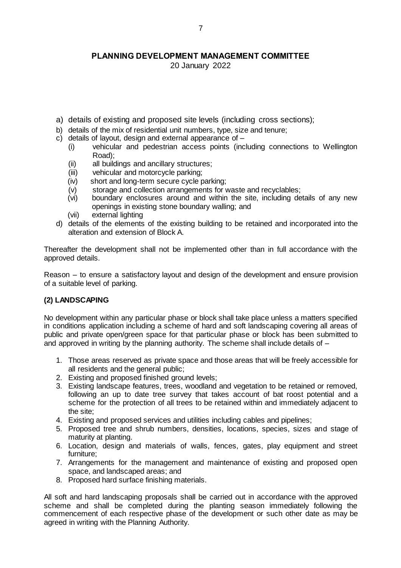20 January 2022

- a) details of existing and proposed site levels (including cross sections);
- b) details of the mix of residential unit numbers, type, size and tenure;
- c) details of layout, design and external appearance of
	- (i) vehicular and pedestrian access points (including connections to Wellington Road);
	- (ii) all buildings and ancillary structures;
	- (iii) vehicular and motorcycle parking;
	- (iv) short and long-term secure cycle parking;
	- (v) storage and collection arrangements for waste and recyclables;<br>(vi) boundary enclosures around and within the site, including de
	- boundary enclosures around and within the site, including details of any new openings in existing stone boundary walling; and
	- (vii) external lighting
- d) details of the elements of the existing building to be retained and incorporated into the alteration and extension of Block A.

Thereafter the development shall not be implemented other than in full accordance with the approved details.

Reason – to ensure a satisfactory layout and design of the development and ensure provision of a suitable level of parking.

#### **(2) LANDSCAPING**

No development within any particular phase or block shall take place unless a matters specified in conditions application including a scheme of hard and soft landscaping covering all areas of public and private open/green space for that particular phase or block has been submitted to and approved in writing by the planning authority. The scheme shall include details of –

- 1. Those areas reserved as private space and those areas that will be freely accessible for all residents and the general public;
- 2. Existing and proposed finished ground levels;
- 3. Existing landscape features, trees, woodland and vegetation to be retained or removed, following an up to date tree survey that takes account of bat roost potential and a scheme for the protection of all trees to be retained within and immediately adjacent to the site;
- 4. Existing and proposed services and utilities including cables and pipelines;
- 5. Proposed tree and shrub numbers, densities, locations, species, sizes and stage of maturity at planting.
- 6. Location, design and materials of walls, fences, gates, play equipment and street furniture;
- 7. Arrangements for the management and maintenance of existing and proposed open space, and landscaped areas; and
- 8. Proposed hard surface finishing materials.

All soft and hard landscaping proposals shall be carried out in accordance with the approved scheme and shall be completed during the planting season immediately following the commencement of each respective phase of the development or such other date as may be agreed in writing with the Planning Authority.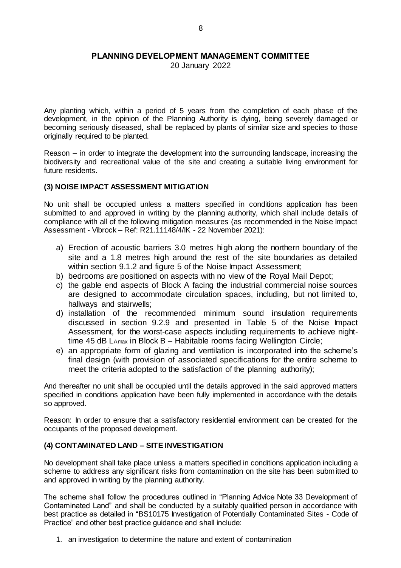20 January 2022

Any planting which, within a period of 5 years from the completion of each phase of the development, in the opinion of the Planning Authority is dying, being severely damaged or becoming seriously diseased, shall be replaced by plants of similar size and species to those originally required to be planted.

Reason – in order to integrate the development into the surrounding landscape, increasing the biodiversity and recreational value of the site and creating a suitable living environment for future residents.

### **(3) NOISE IMPACT ASSESSMENT MITIGATION**

No unit shall be occupied unless a matters specified in conditions application has been submitted to and approved in writing by the planning authority, which shall include details of compliance with all of the following mitigation measures (as recommended in the Noise Impact Assessment - Vibrock – Ref: R21.11148/4/IK - 22 November 2021):

- a) Erection of acoustic barriers 3.0 metres high along the northern boundary of the site and a 1.8 metres high around the rest of the site boundaries as detailed within section 9.1.2 and figure 5 of the Noise Impact Assessment;
- b) bedrooms are positioned on aspects with no view of the Royal Mail Depot;
- c) the gable end aspects of Block A facing the industrial commercial noise sources are designed to accommodate circulation spaces, including, but not limited to, hallways and stairwells;
- d) installation of the recommended minimum sound insulation requirements discussed in section 9.2.9 and presented in Table 5 of the Noise Impact Assessment, for the worst-case aspects including requirements to achieve nighttime 45 dB LAmax in Block B – Habitable rooms facing Wellington Circle;
- e) an appropriate form of glazing and ventilation is incorporated into the scheme's final design (with provision of associated specifications for the entire scheme to meet the criteria adopted to the satisfaction of the planning authority);

And thereafter no unit shall be occupied until the details approved in the said approved matters specified in conditions application have been fully implemented in accordance with the details so approved.

Reason: In order to ensure that a satisfactory residential environment can be created for the occupants of the proposed development.

# **(4) CONTAMINATED LAND – SITE INVESTIGATION**

No development shall take place unless a matters specified in conditions application including a scheme to address any significant risks from contamination on the site has been submitted to and approved in writing by the planning authority.

The scheme shall follow the procedures outlined in "Planning Advice Note 33 Development of Contaminated Land" and shall be conducted by a suitably qualified person in accordance with best practice as detailed in "BS10175 Investigation of Potentially Contaminated Sites - Code of Practice" and other best practice guidance and shall include:

1. an investigation to determine the nature and extent of contamination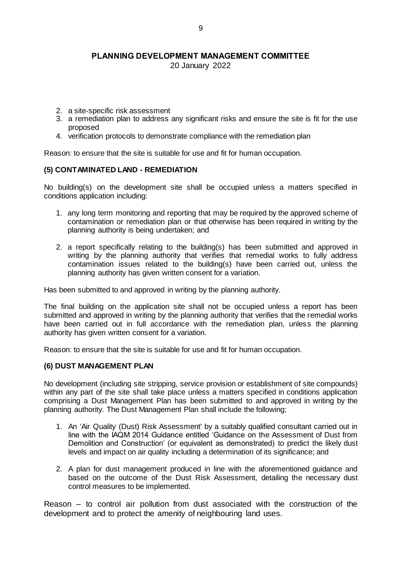20 January 2022

- 2. a site-specific risk assessment
- 3. a remediation plan to address any significant risks and ensure the site is fit for the use proposed
- 4. verification protocols to demonstrate compliance with the remediation plan

Reason: to ensure that the site is suitable for use and fit for human occupation.

#### **(5) CONTAMINATED LAND - REMEDIATION**

No building(s) on the development site shall be occupied unless a matters specified in conditions application including:

- 1. any long term monitoring and reporting that may be required by the approved scheme of contamination or remediation plan or that otherwise has been required in writing by the planning authority is being undertaken; and
- 2. a report specifically relating to the building(s) has been submitted and approved in writing by the planning authority that verifies that remedial works to fully address contamination issues related to the building(s) have been carried out, unless the planning authority has given written consent for a variation.

Has been submitted to and approved in writing by the planning authority.

The final building on the application site shall not be occupied unless a report has been submitted and approved in writing by the planning authority that verifies that the remedial works have been carried out in full accordance with the remediation plan, unless the planning authority has given written consent for a variation.

Reason: to ensure that the site is suitable for use and fit for human occupation.

#### **(6) DUST MANAGEMENT PLAN**

No development (including site stripping, service provision or establishment of site compounds) within any part of the site shall take place unless a matters specified in conditions application comprising a Dust Management Plan has been submitted to and approved in writing by the planning authority. The Dust Management Plan shall include the following;

- 1. An 'Air Quality (Dust) Risk Assessment' by a suitably qualified consultant carried out in line with the IAQM 2014 Guidance entitled 'Guidance on the Assessment of Dust from Demolition and Construction' (or equivalent as demonstrated) to predict the likely dust levels and impact on air quality including a determination of its significance; and
- 2. A plan for dust management produced in line with the aforementioned guidance and based on the outcome of the Dust Risk Assessment, detailing the necessary dust control measures to be implemented.

Reason – to control air pollution from dust associated with the construction of the development and to protect the amenity of neighbouring land uses.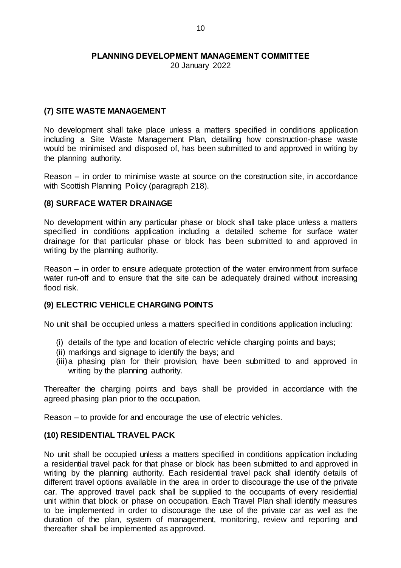20 January 2022

# **(7) SITE WASTE MANAGEMENT**

No development shall take place unless a matters specified in conditions application including a Site Waste Management Plan, detailing how construction-phase waste would be minimised and disposed of, has been submitted to and approved in writing by the planning authority.

Reason – in order to minimise waste at source on the construction site, in accordance with Scottish Planning Policy (paragraph 218).

# **(8) SURFACE WATER DRAINAGE**

No development within any particular phase or block shall take place unless a matters specified in conditions application including a detailed scheme for surface water drainage for that particular phase or block has been submitted to and approved in writing by the planning authority.

Reason – in order to ensure adequate protection of the water environment from surface water run-off and to ensure that the site can be adequately drained without increasing flood risk.

# **(9) ELECTRIC VEHICLE CHARGING POINTS**

No unit shall be occupied unless a matters specified in conditions application including:

- (i) details of the type and location of electric vehicle charging points and bays;
- (ii) markings and signage to identify the bays; and
- (iii)a phasing plan for their provision, have been submitted to and approved in writing by the planning authority.

Thereafter the charging points and bays shall be provided in accordance with the agreed phasing plan prior to the occupation.

Reason – to provide for and encourage the use of electric vehicles.

# **(10) RESIDENTIAL TRAVEL PACK**

No unit shall be occupied unless a matters specified in conditions application including a residential travel pack for that phase or block has been submitted to and approved in writing by the planning authority. Each residential travel pack shall identify details of different travel options available in the area in order to discourage the use of the private car. The approved travel pack shall be supplied to the occupants of every residential unit within that block or phase on occupation. Each Travel Plan shall identify measures to be implemented in order to discourage the use of the private car as well as the duration of the plan, system of management, monitoring, review and reporting and thereafter shall be implemented as approved.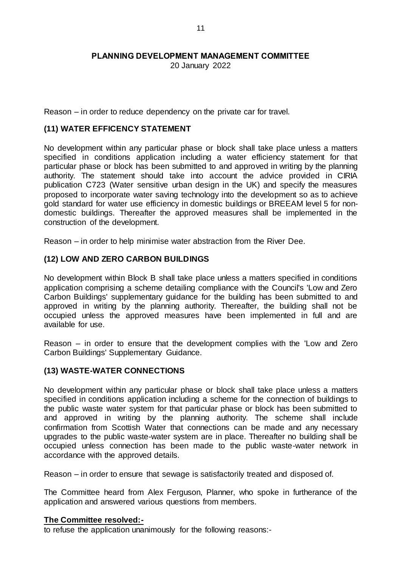20 January 2022

Reason – in order to reduce dependency on the private car for travel.

# **(11) WATER EFFICENCY STATEMENT**

No development within any particular phase or block shall take place unless a matters specified in conditions application including a water efficiency statement for that particular phase or block has been submitted to and approved in writing by the planning authority. The statement should take into account the advice provided in CIRIA publication C723 (Water sensitive urban design in the UK) and specify the measures proposed to incorporate water saving technology into the development so as to achieve gold standard for water use efficiency in domestic buildings or BREEAM level 5 for nondomestic buildings. Thereafter the approved measures shall be implemented in the construction of the development.

Reason – in order to help minimise water abstraction from the River Dee.

# **(12) LOW AND ZERO CARBON BUILDINGS**

No development within Block B shall take place unless a matters specified in conditions application comprising a scheme detailing compliance with the Council's 'Low and Zero Carbon Buildings' supplementary guidance for the building has been submitted to and approved in writing by the planning authority. Thereafter, the building shall not be occupied unless the approved measures have been implemented in full and are available for use.

Reason – in order to ensure that the development complies with the 'Low and Zero Carbon Buildings' Supplementary Guidance.

# **(13) WASTE-WATER CONNECTIONS**

No development within any particular phase or block shall take place unless a matters specified in conditions application including a scheme for the connection of buildings to the public waste water system for that particular phase or block has been submitted to and approved in writing by the planning authority. The scheme shall include confirmation from Scottish Water that connections can be made and any necessary upgrades to the public waste-water system are in place. Thereafter no building shall be occupied unless connection has been made to the public waste-water network in accordance with the approved details.

Reason – in order to ensure that sewage is satisfactorily treated and disposed of.

The Committee heard from Alex Ferguson, Planner, who spoke in furtherance of the application and answered various questions from members.

#### **The Committee resolved:-**

to refuse the application unanimously for the following reasons:-